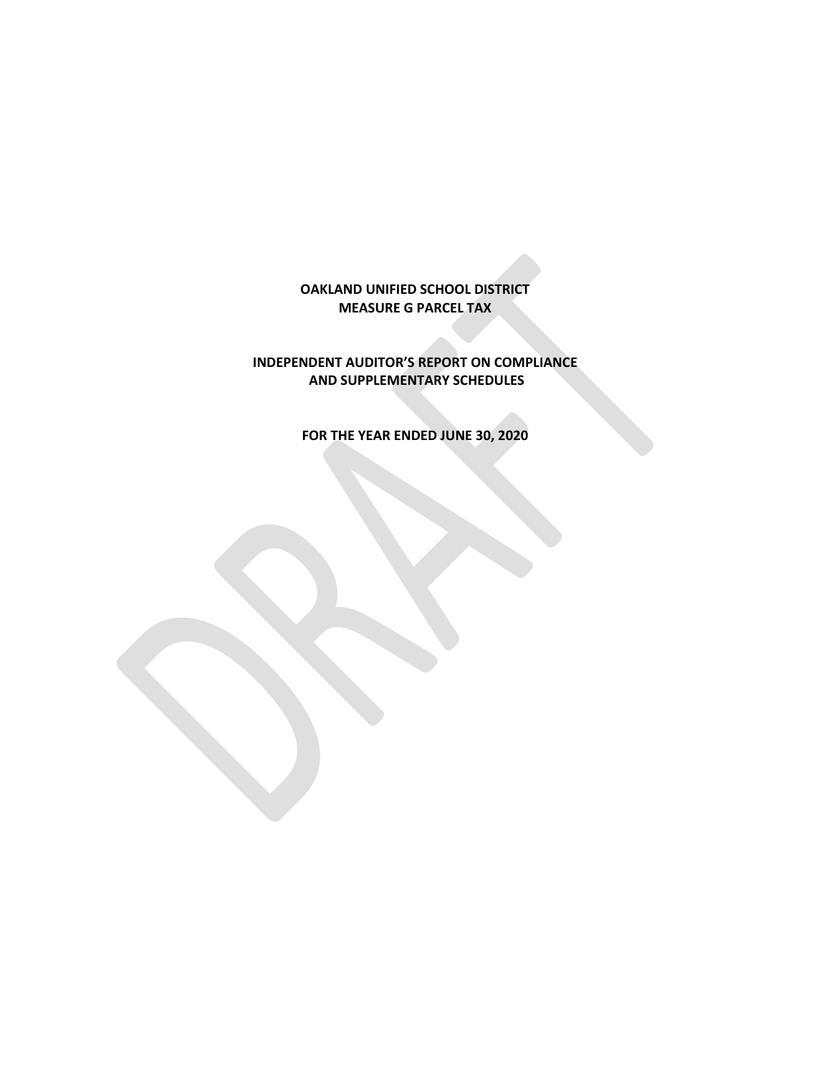**OAKLAND UNIFIED SCHOOL DISTRICT MEASURE G PARCEL TAX**

**INDEPENDENT AUDITOR'S REPORT ON COMPLIANCE AND SUPPLEMENTARY SCHEDULES**

**FOR THE YEAR ENDED JUNE 30, 2020**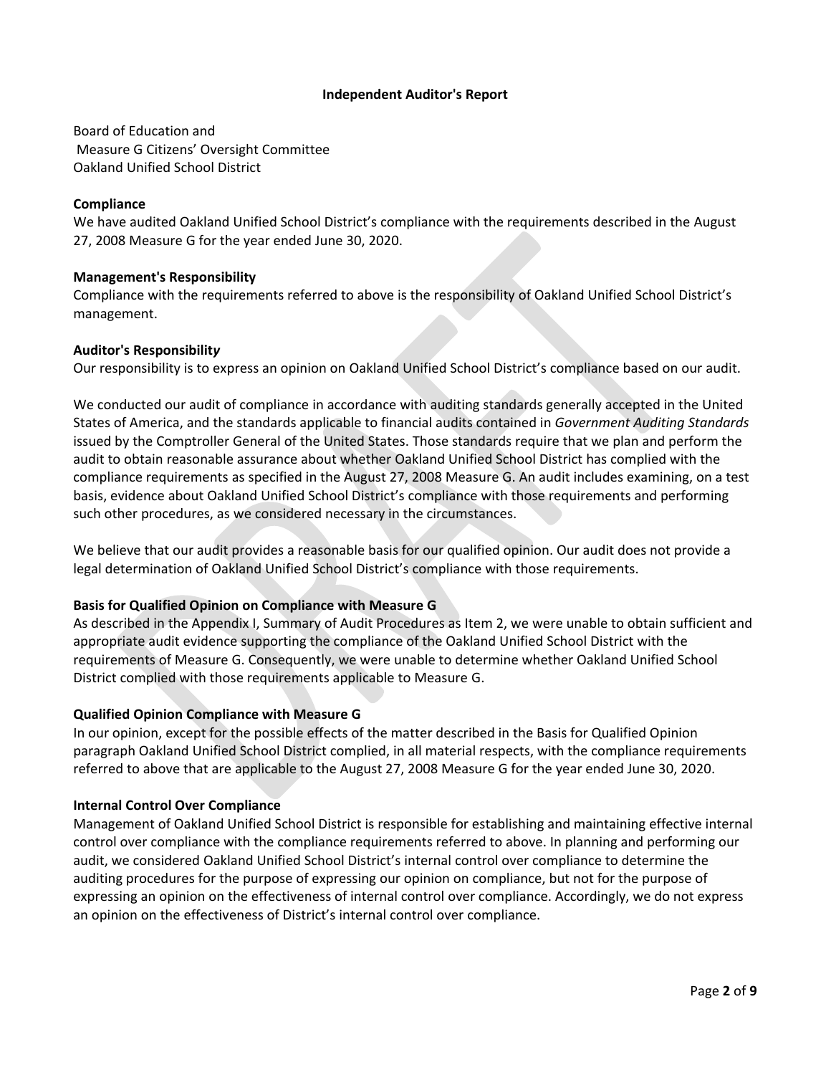## **Independent Auditor's Report**

Board of Education and Measure G Citizens' Oversight Committee Oakland Unified School District

### **Compliance**

We have audited Oakland Unified School District's compliance with the requirements described in the August 27, 2008 Measure G for the year ended June 30, 2020.

## **Management's Responsibility**

Compliance with the requirements referred to above is the responsibility of Oakland Unified School District's management.

## **Auditor's Responsibilit***y*

Our responsibility is to express an opinion on Oakland Unified School District's compliance based on our audit.

We conducted our audit of compliance in accordance with auditing standards generally accepted in the United States of America, and the standards applicable to financial audits contained in *Government Auditing Standards* issued by the Comptroller General of the United States. Those standards require that we plan and perform the audit to obtain reasonable assurance about whether Oakland Unified School District has complied with the compliance requirements as specified in the August 27, 2008 Measure G. An audit includes examining, on a test basis, evidence about Oakland Unified School District's compliance with those requirements and performing such other procedures, as we considered necessary in the circumstances.

We believe that our audit provides a reasonable basis for our qualified opinion. Our audit does not provide a legal determination of Oakland Unified School District's compliance with those requirements.

## **Basis for Qualified Opinion on Compliance with Measure G**

As described in the Appendix I, Summary of Audit Procedures as Item 2, we were unable to obtain sufficient and appropriate audit evidence supporting the compliance of the Oakland Unified School District with the requirements of Measure G. Consequently, we were unable to determine whether Oakland Unified School District complied with those requirements applicable to Measure G.

#### **Qualified Opinion Compliance with Measure G**

In our opinion, except for the possible effects of the matter described in the Basis for Qualified Opinion paragraph Oakland Unified School District complied, in all material respects, with the compliance requirements referred to above that are applicable to the August 27, 2008 Measure G for the year ended June 30, 2020.

#### **Internal Control Over Compliance**

Management of Oakland Unified School District is responsible for establishing and maintaining effective internal control over compliance with the compliance requirements referred to above. In planning and performing our audit, we considered Oakland Unified School District's internal control over compliance to determine the auditing procedures for the purpose of expressing our opinion on compliance, but not for the purpose of expressing an opinion on the effectiveness of internal control over compliance. Accordingly, we do not express an opinion on the effectiveness of District's internal control over compliance.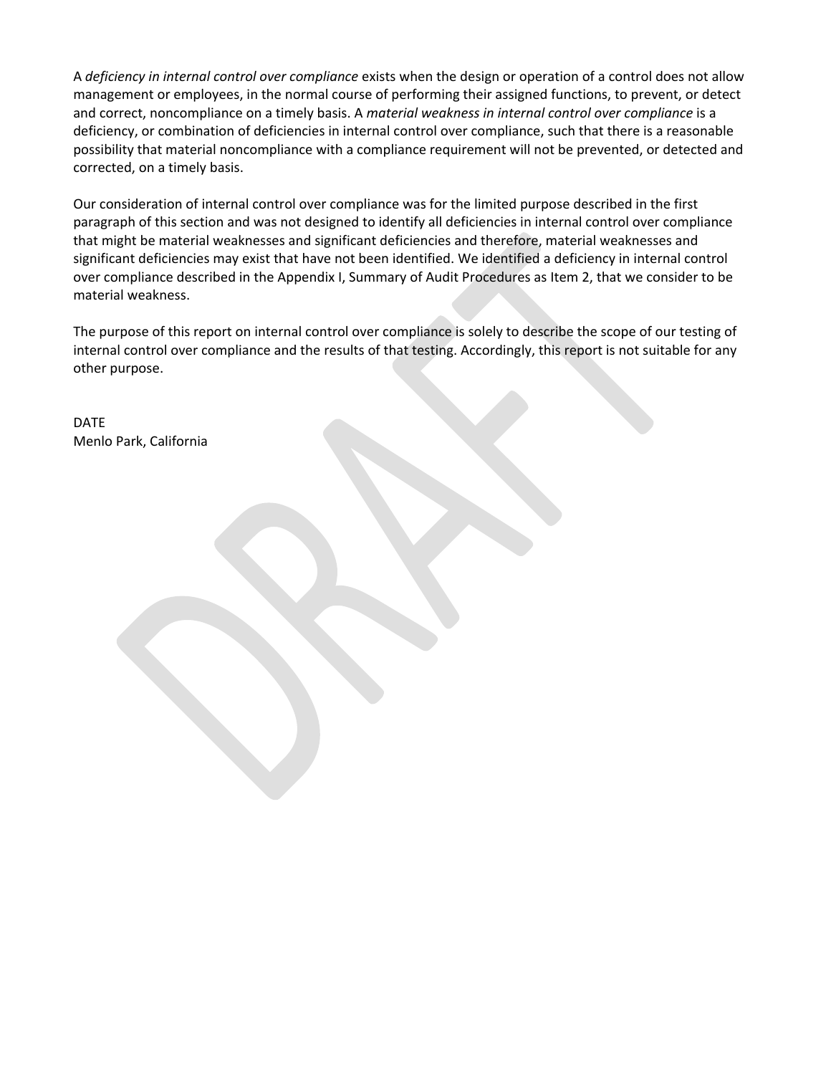A *deficiency in internal control over compliance* exists when the design or operation of a control does not allow management or employees, in the normal course of performing their assigned functions, to prevent, or detect and correct, noncompliance on a timely basis. A *material weakness in internal control over compliance* is a deficiency, or combination of deficiencies in internal control over compliance, such that there is a reasonable possibility that material noncompliance with a compliance requirement will not be prevented, or detected and corrected, on a timely basis.

Our consideration of internal control over compliance was for the limited purpose described in the first paragraph of this section and was not designed to identify all deficiencies in internal control over compliance that might be material weaknesses and significant deficiencies and therefore, material weaknesses and significant deficiencies may exist that have not been identified. We identified a deficiency in internal control over compliance described in the Appendix I, Summary of Audit Procedures as Item 2, that we consider to be material weakness.

The purpose of this report on internal control over compliance is solely to describe the scope of our testing of internal control over compliance and the results of that testing. Accordingly, this report is not suitable for any other purpose.

DATE Menlo Park, California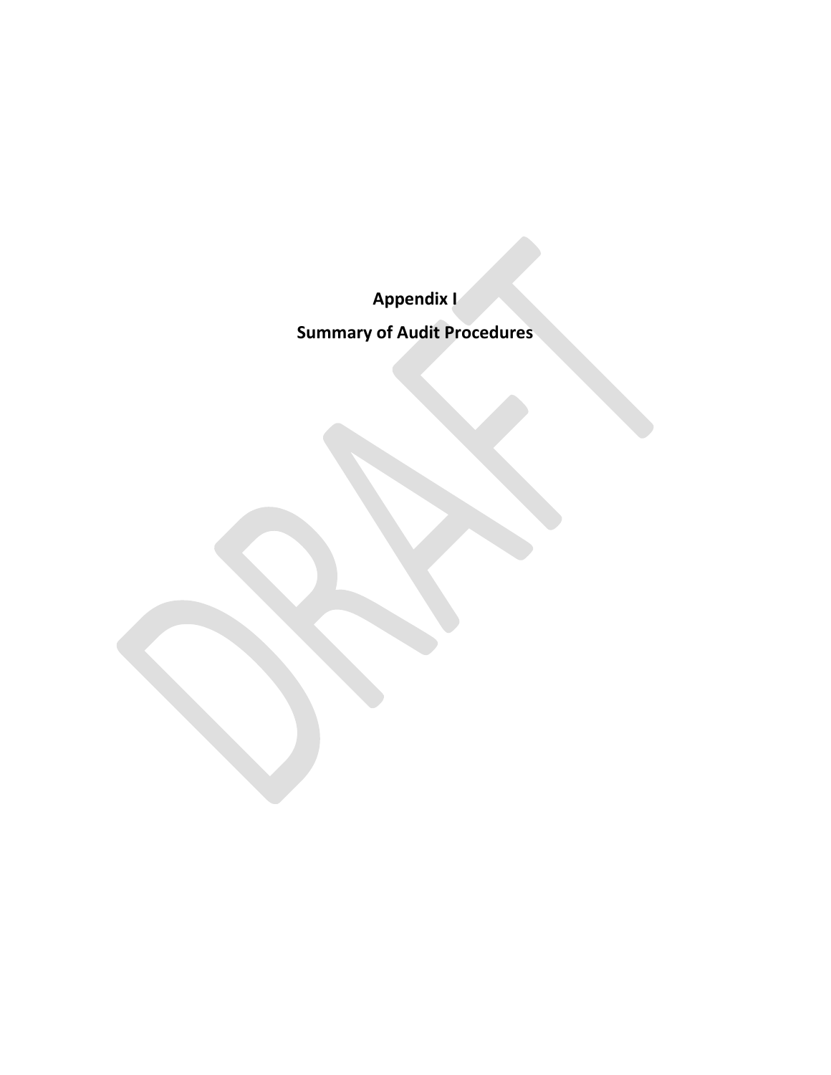**Appendix I**

**Summary of Audit Procedures**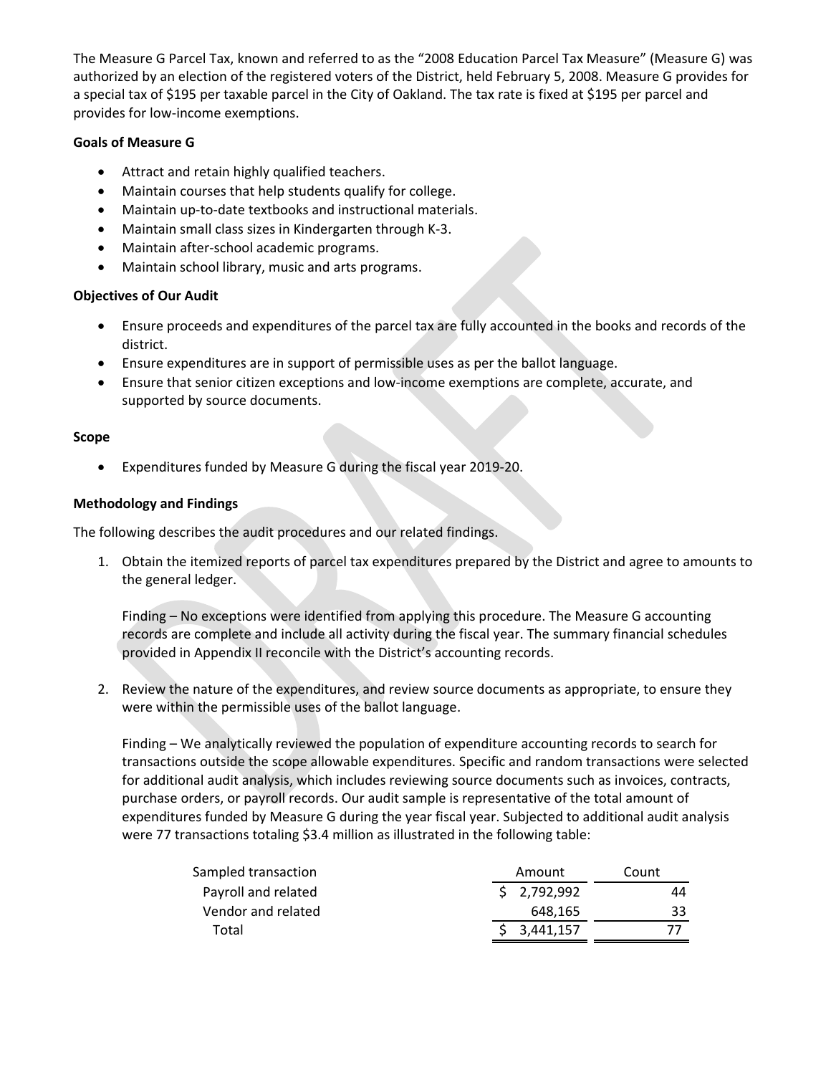The Measure G Parcel Tax, known and referred to as the "2008 Education Parcel Tax Measure" (Measure G) was authorized by an election of the registered voters of the District, held February 5, 2008. Measure G provides for a special tax of \$195 per taxable parcel in the City of Oakland. The tax rate is fixed at \$195 per parcel and provides for low-income exemptions.

# **Goals of Measure G**

- Attract and retain highly qualified teachers.
- Maintain courses that help students qualify for college.
- Maintain up-to-date textbooks and instructional materials.
- Maintain small class sizes in Kindergarten through K-3.
- Maintain after-school academic programs.
- Maintain school library, music and arts programs.

# **Objectives of Our Audit**

- Ensure proceeds and expenditures of the parcel tax are fully accounted in the books and records of the district.
- Ensure expenditures are in support of permissible uses as per the ballot language.
- Ensure that senior citizen exceptions and low-income exemptions are complete, accurate, and supported by source documents.

# **Scope**

• Expenditures funded by Measure G during the fiscal year 2019-20.

# **Methodology and Findings**

The following describes the audit procedures and our related findings.

1. Obtain the itemized reports of parcel tax expenditures prepared by the District and agree to amounts to the general ledger.

Finding – No exceptions were identified from applying this procedure. The Measure G accounting records are complete and include all activity during the fiscal year. The summary financial schedules provided in Appendix II reconcile with the District's accounting records.

2. Review the nature of the expenditures, and review source documents as appropriate, to ensure they were within the permissible uses of the ballot language.

Finding – We analytically reviewed the population of expenditure accounting records to search for transactions outside the scope allowable expenditures. Specific and random transactions were selected for additional audit analysis, which includes reviewing source documents such as invoices, contracts, purchase orders, or payroll records. Our audit sample is representative of the total amount of expenditures funded by Measure G during the year fiscal year. Subjected to additional audit analysis were 77 transactions totaling \$3.4 million as illustrated in the following table:

| Sampled transaction | Amount      | Count |
|---------------------|-------------|-------|
| Payroll and related | \$2,792,992 | 44    |
| Vendor and related  | 648.165     | 33    |
| Total               | 3,441,157   |       |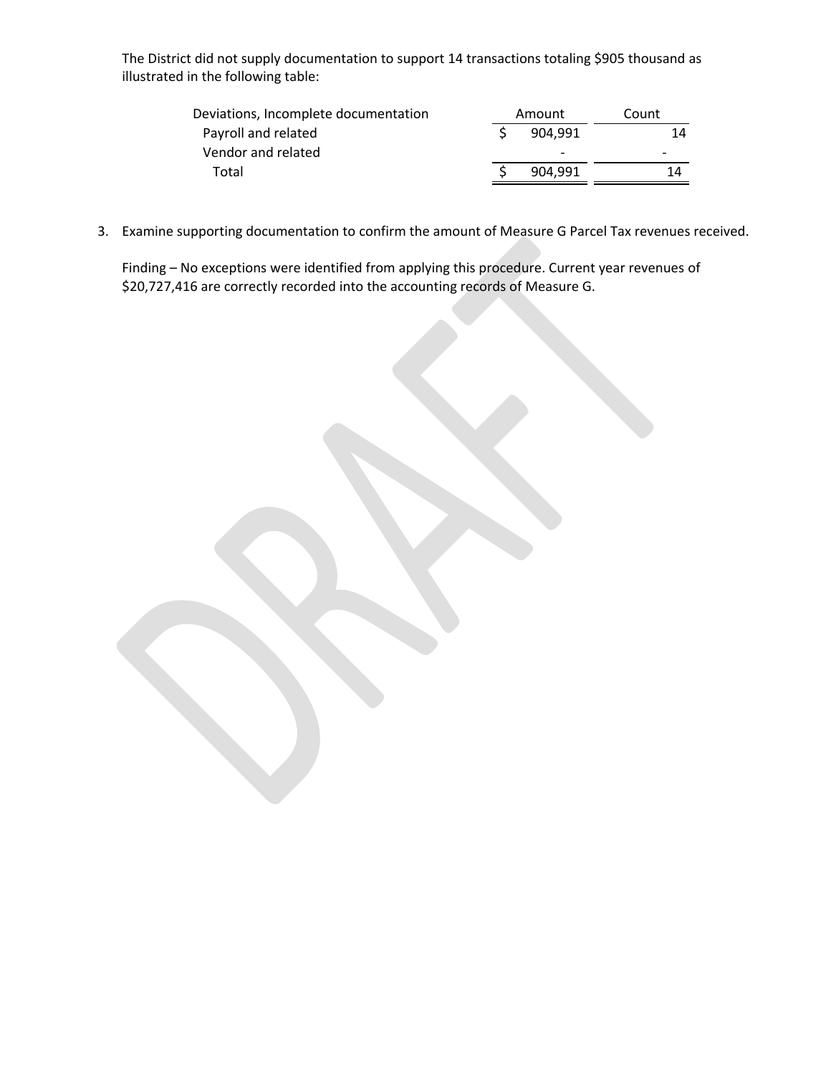The District did not supply documentation to support 14 transactions totaling \$905 thousand as illustrated in the following table:

| Deviations, Incomplete documentation | Amount |                          | Count                    |  |
|--------------------------------------|--------|--------------------------|--------------------------|--|
| Payroll and related                  |        | 904.991                  | 14                       |  |
| Vendor and related                   |        | $\overline{\phantom{0}}$ | $\overline{\phantom{0}}$ |  |
| Total                                |        | 904.991                  | 14                       |  |
|                                      |        |                          |                          |  |

3. Examine supporting documentation to confirm the amount of Measure G Parcel Tax revenues received.

Finding – No exceptions were identified from applying this procedure. Current year revenues of \$20,727,416 are correctly recorded into the accounting records of Measure G.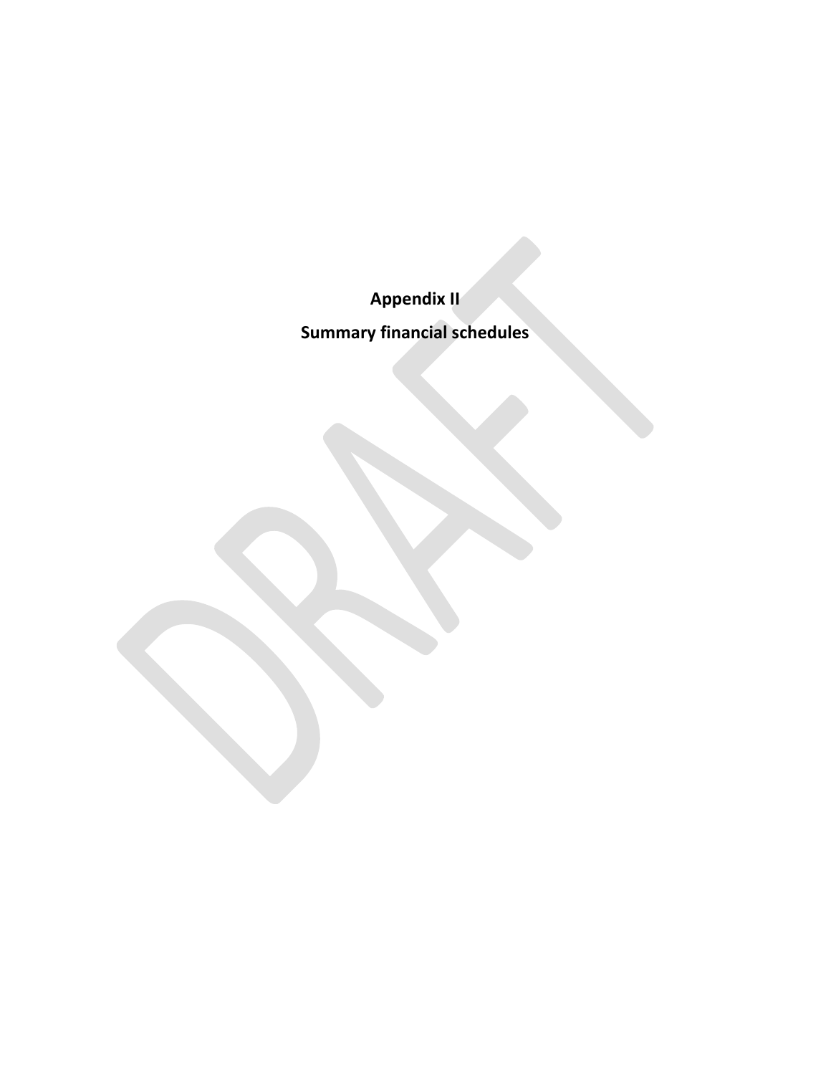**Appendix II**

**Summary financial schedules**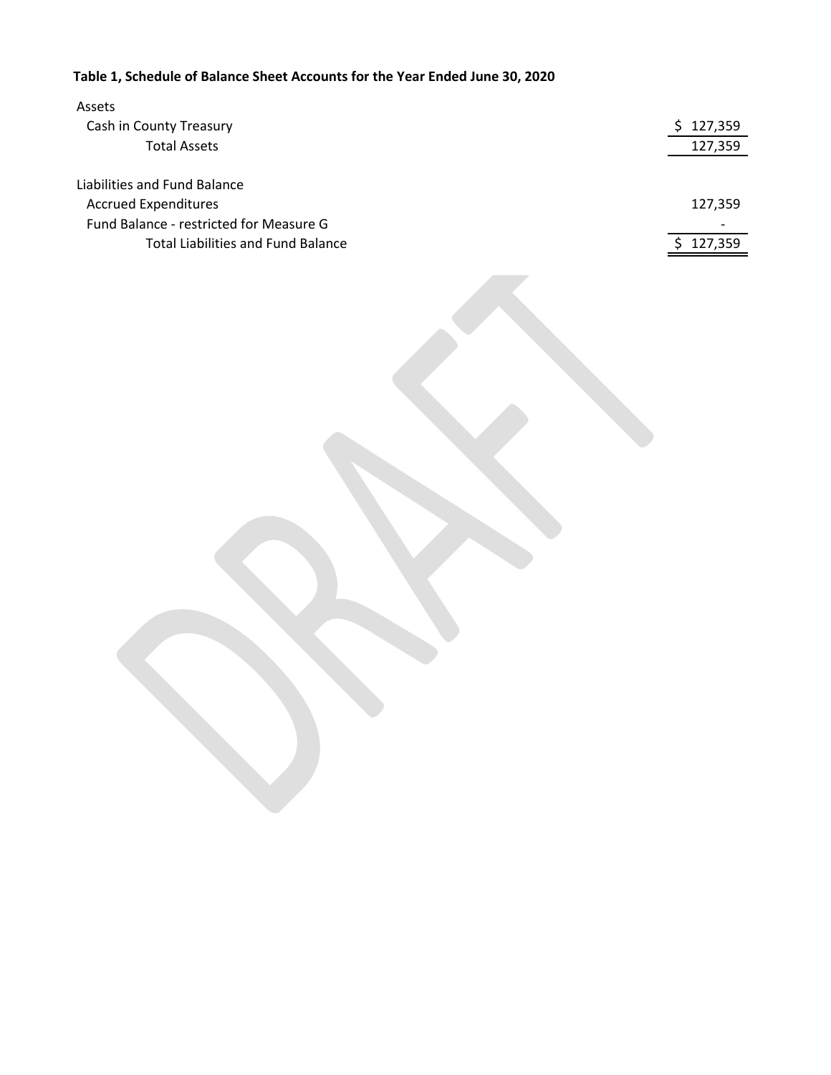# **Table 1, Schedule of Balance Sheet Accounts for the Year Ended June 30, 2020**

| Assets                                    |         |
|-------------------------------------------|---------|
| Cash in County Treasury                   | 127,359 |
| <b>Total Assets</b>                       | 127,359 |
|                                           |         |
| Liabilities and Fund Balance              |         |
| <b>Accrued Expenditures</b>               | 127,359 |
| Fund Balance - restricted for Measure G   |         |
| <b>Total Liabilities and Fund Balance</b> | 127,359 |
|                                           |         |